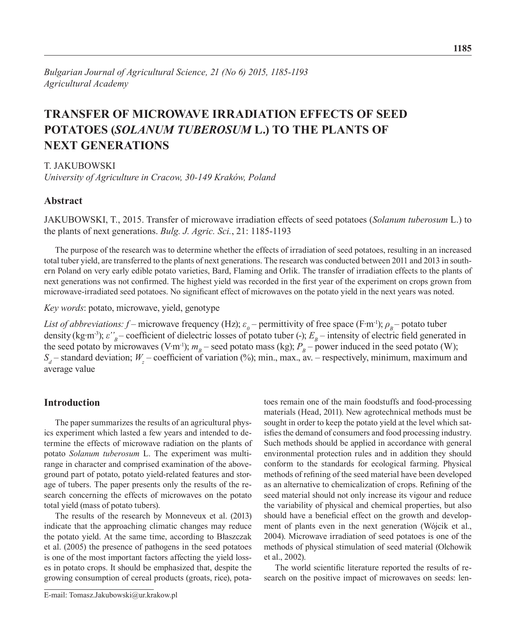# **TRANSFER OF MICROWAVE IRRADIATION EFFECTS OF SEED POTATOES (***SOLANUM TUBEROSUM* **L.) TO THE PLANTS OF NEXT GENERATIONS**

T. JAKUBOWSKI

*University of Agriculture in Cracow, 30-149 Kraków, Poland*

# **Abstract**

JAKUBOWSKI, T., 2015. Transfer of microwave irradiation effects of seed potatoes (*Solanum tuberosum* L.) to the plants of next generations. *Bulg. J. Agric. Sci.*, 21: 1185-1193

The purpose of the research was to determine whether the effects of irradiation of seed potatoes, resulting in an increased total tuber yield, are transferred to the plants of next generations. The research was conducted between 2011 and 2013 in southern Poland on very early edible potato varieties, Bard, Flaming and Orlik. The transfer of irradiation effects to the plants of next generations was not confirmed. The highest yield was recorded in the first year of the experiment on crops grown from microwave-irradiated seed potatoes. No significant effect of microwaves on the potato yield in the next years was noted.

*Key words*: potato, microwave, yield, genotype

*List of abbreviations: f* – microwave frequency (Hz);  $\varepsilon_p$  – permittivity of free space (F·m<sup>-1</sup>);  $\rho_B$  – potato tuber density (kg·m<sup>-3</sup>);  $\varepsilon$ <sup>'</sup><sub>*B*</sub> – coefficient of dielectric losses of potato tuber (-);  $E_B$  – intensity of electric field generated in the seed potato by microwaves (V·m<sup>-1</sup>);  $m_B$  – seed potato mass (kg);  $P_B$  – power induced in the seed potato (W);  $S_d$  – standard deviation;  $W_z$  – coefficient of variation (%); min., max., av. – respectively, minimum, maximum and average value

# **Introduction**

The paper summarizes the results of an agricultural physics experiment which lasted a few years and intended to determine the effects of microwave radiation on the plants of potato *Solanum tuberosum* L. The experiment was multirange in character and comprised examination of the aboveground part of potato, potato yield-related features and storage of tubers. The paper presents only the results of the research concerning the effects of microwaves on the potato total yield (mass of potato tubers).

The results of the research by Monneveux et al. (2013) indicate that the approaching climatic changes may reduce the potato yield. At the same time, according to Błaszczak et al. (2005) the presence of pathogens in the seed potatoes is one of the most important factors affecting the yield losses in potato crops. It should be emphasized that, despite the growing consumption of cereal products (groats, rice), pota-

Such methods should be applied in accordance with general environmental protection rules and in addition they should conform to the standards for ecological farming. Physical methods of refining of the seed material have been developed as an alternative to chemicalization of crops. Refining of the seed material should not only increase its vigour and reduce the variability of physical and chemical properties, but also should have a beneficial effect on the growth and development of plants even in the next generation (Wójcik et al., 2004). Microwave irradiation of seed potatoes is one of the methods of physical stimulation of seed material (Olchowik et al., 2002).

The world scientific literature reported the results of research on the positive impact of microwaves on seeds: len-

toes remain one of the main foodstuffs and food-processing materials (Head, 2011). New agrotechnical methods must be sought in order to keep the potato yield at the level which satisfies the demand of consumers and food processing industry.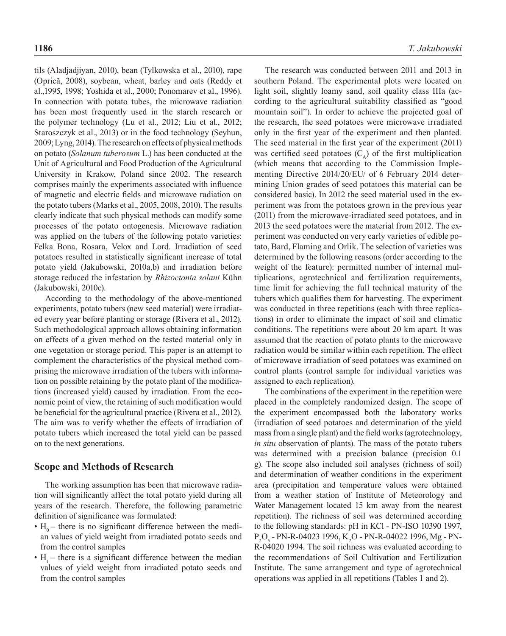tils (Aladjadjiyan, 2010), bean (Tylkowska et al., 2010), rape (Oprică, 2008), soybean, wheat, barley and oats (Reddy et al.,1995, 1998; Yoshida et al., 2000; Ponomarev et al., 1996). In connection with potato tubes, the microwave radiation has been most frequently used in the starch research or the polymer technology (Lu et al., 2012; Liu et al., 2012; Staroszczyk et al., 2013) or in the food technology (Seyhun, 2009; Lyng, 2014). The research on effects of physical methods on potato (*Solanum tuberosum* L.) has been conducted at the Unit of Agricultural and Food Production of the Agricultural University in Krakow, Poland since 2002. The research comprises mainly the experiments associated with influence of magnetic and electric fields and microwave radiation on the potato tubers (Marks et al., 2005, 2008, 2010). The results clearly indicate that such physical methods can modify some processes of the potato ontogenesis. Microwave radiation was applied on the tubers of the following potato varieties: Felka Bona, Rosara, Velox and Lord. Irradiation of seed potatoes resulted in statistically significant increase of total potato yield (Jakubowski, 2010a,b) and irradiation before storage reduced the infestation by *Rhizoctonia solani* Kühn (Jakubowski, 2010c).

According to the methodology of the above-mentioned experiments, potato tubers (new seed material) were irradiated every year before planting or storage (Rivera et al., 2012). Such methodological approach allows obtaining information on effects of a given method on the tested material only in one vegetation or storage period. This paper is an attempt to complement the characteristics of the physical method comprising the microwave irradiation of the tubers with information on possible retaining by the potato plant of the modifications (increased yield) caused by irradiation. From the economic point of view, the retaining of such modification would be beneficial for the agricultural practice (Rivera et al., 2012). The aim was to verify whether the effects of irradiation of potato tubers which increased the total yield can be passed on to the next generations.

### **Scope and Methods of Research**

The working assumption has been that microwave radiation will significantly affect the total potato yield during all years of the research. Therefore, the following parametric definition of significance was formulated:

- $H_0$  there is no significant difference between the median values of yield weight from irradiated potato seeds and from the control samples
- $H_1$  there is a significant difference between the median values of yield weight from irradiated potato seeds and from the control samples

The research was conducted between 2011 and 2013 in southern Poland. The experimental plots were located on light soil, slightly loamy sand, soil quality class IIIa (according to the agricultural suitability classified as "good mountain soil"). In order to achieve the projected goal of the research, the seed potatoes were microwave irradiated only in the first year of the experiment and then planted. The seed material in the first year of the experiment (2011) was certified seed potatoes  $(C_{\lambda})$  of the first multiplication (which means that according to the Commission Implementing Directive 2014/20/EU/ of 6 February 2014 determining Union grades of seed potatoes this material can be considered basic). In 2012 the seed material used in the experiment was from the potatoes grown in the previous year (2011) from the microwave-irradiated seed potatoes, and in 2013 the seed potatoes were the material from 2012. The experiment was conducted on very early varieties of edible potato, Bard, Flaming and Orlik. The selection of varieties was determined by the following reasons (order according to the weight of the feature): permitted number of internal multiplications, agrotechnical and fertilization requirements, time limit for achieving the full technical maturity of the tubers which qualifies them for harvesting. The experiment was conducted in three repetitions (each with three replications) in order to eliminate the impact of soil and climatic conditions. The repetitions were about 20 km apart. It was assumed that the reaction of potato plants to the microwave radiation would be similar within each repetition. The effect of microwave irradiation of seed potatoes was examined on control plants (control sample for individual varieties was assigned to each replication).

The combinations of the experiment in the repetition were placed in the completely randomized design. The scope of the experiment encompassed both the laboratory works (irradiation of seed potatoes and determination of the yield mass from a single plant) and the field works (agrotechnology, *in situ* observation of plants). The mass of the potato tubers was determined with a precision balance (precision 0.1 g). The scope also included soil analyses (richness of soil) and determination of weather conditions in the experiment area (precipitation and temperature values were obtained from a weather station of Institute of Meteorology and Water Management located 15 km away from the nearest repetition). The richness of soil was determined according to the following standards: pH in KCl - PN-ISO 10390 1997,  $P_2O_5$  - PN-R-04023 1996, K<sub>2</sub>O - PN-R-04022 1996, Mg - PN-R-04020 1994. The soil richness was evaluated according to the recommendations of Soil Cultivation and Fertilization Institute. The same arrangement and type of agrotechnical operations was applied in all repetitions (Tables 1 and 2).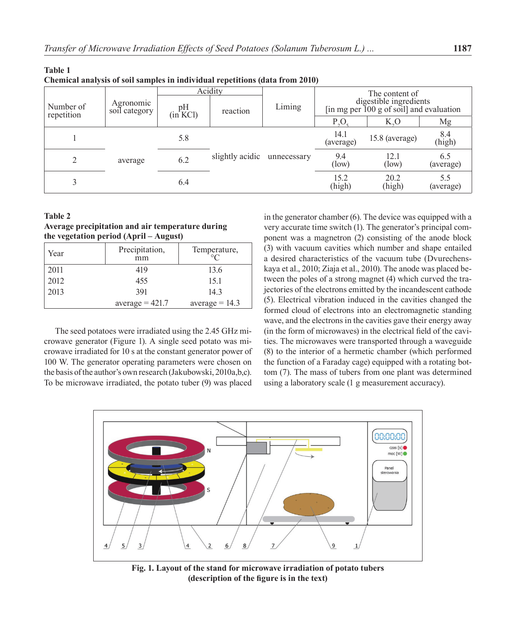| $\sim$                  |                            |                   | Acidity         |             |                   | The content of                                                     |                  |
|-------------------------|----------------------------|-------------------|-----------------|-------------|-------------------|--------------------------------------------------------------------|------------------|
| Number of<br>repetition | Agronomic<br>soil category | pН<br>$(in+ KCl)$ | reaction        | Liming      |                   | digestible ingredients<br>[in mg per 100 g of soil] and evaluation |                  |
|                         |                            |                   |                 |             | $P_1O_3$          | $K_{0}$                                                            | Mg               |
|                         |                            | 5.8               |                 |             | 14.1<br>(average) | 15.8 (average)                                                     | 8.4<br>(high)    |
|                         | average                    | 6.2               | slightly acidic | unnecessary | 9.4<br>(low)      | 12.1<br>(low)                                                      | 6.5<br>(average) |
|                         |                            | 6.4               |                 |             | 15.2<br>(high)    | 20.2<br>(high)                                                     | 5.5<br>(average) |

**Chemical analysis of soil samples in individual repetitions (data from 2010)** 

### **Table 2**

**Table 1** 

## **Average precipitation and air temperature during the vegetation period (April – August)**

| Year | Precipitation,<br>mm | Temperature,     |
|------|----------------------|------------------|
| 2011 | 419                  | 13.6             |
| 2012 | 455                  | 15.1             |
| 2013 | 391                  | 143              |
|      | $average = 421.7$    | $average = 14.3$ |

The seed potatoes were irradiated using the 2.45 GHz microwave generator (Figure 1). A single seed potato was microwave irradiated for 10 s at the constant generator power of 100 W. The generator operating parameters were chosen on the basis of the author's own research (Jakubowski, 2010a,b,c). To be microwave irradiated, the potato tuber (9) was placed

in the generator chamber (6). The device was equipped with a very accurate time switch (1). The generator's principal component was a magnetron (2) consisting of the anode block (3) with vacuum cavities which number and shape entailed a desired characteristics of the vacuum tube (Dvurechenskaya et al., 2010; Ziaja et al., 2010). The anode was placed between the poles of a strong magnet (4) which curved the trajectories of the electrons emitted by the incandescent cathode (5). Electrical vibration induced in the cavities changed the formed cloud of electrons into an electromagnetic standing wave, and the electrons in the cavities gave their energy away (in the form of microwaves) in the electrical field of the cavities. The microwaves were transported through a waveguide (8) to the interior of a hermetic chamber (which performed the function of a Faraday cage) equipped with a rotating bottom (7). The mass of tubers from one plant was determined using a laboratory scale (1 g measurement accuracy).



**Fig. 1. Layout of the stand for microwave irradiation of potato tubers (description of the figure is in the text)**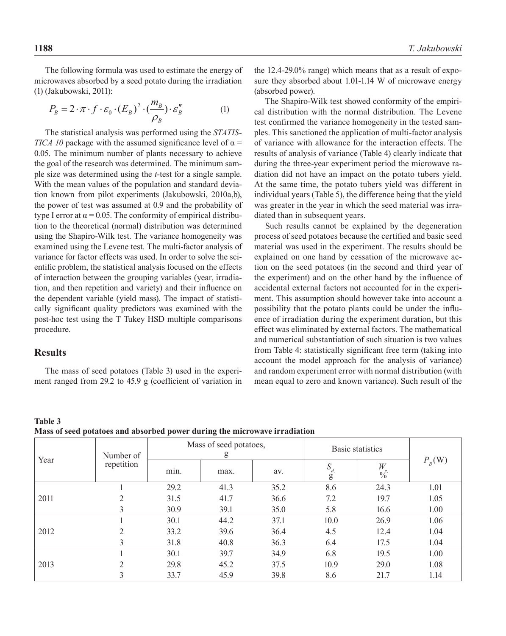The following formula was used to estimate the energy of microwaves absorbed by a seed potato during the irradiation (1) (Jakubowski, 2011):

$$
P_B = 2 \cdot \pi \cdot f \cdot \varepsilon_0 \cdot (E_B)^2 \cdot (\frac{m_B}{\rho_B}) \cdot \varepsilon_B'' \tag{1}
$$

The statistical analysis was performed using the *STATIS-TICA 10* package with the assumed significance level of  $\alpha$  = 0.05. The minimum number of plants necessary to achieve the goal of the research was determined. The minimum sample size was determined using the *t*-test for a single sample. With the mean values of the population and standard deviation known from pilot experiments (Jakubowski, 2010a,b), the power of test was assumed at 0.9 and the probability of type I error at  $\alpha$  = 0.05. The conformity of empirical distribution to the theoretical (normal) distribution was determined using the Shapiro-Wilk test. The variance homogeneity was examined using the Levene test. The multi-factor analysis of variance for factor effects was used. In order to solve the scientific problem, the statistical analysis focused on the effects of interaction between the grouping variables (year, irradiation, and then repetition and variety) and their influence on the dependent variable (yield mass). The impact of statistically significant quality predictors was examined with the post-hoc test using the T Tukey HSD multiple comparisons procedure.

# **Results**

The mass of seed potatoes (Table 3) used in the experiment ranged from 29.2 to 45.9 g (coefficient of variation in the 12.4-29.0% range) which means that as a result of exposure they absorbed about 1.01-1.14 W of microwave energy (absorbed power).

The Shapiro-Wilk test showed conformity of the empirical distribution with the normal distribution. The Levene test confirmed the variance homogeneity in the tested samples. This sanctioned the application of multi-factor analysis of variance with allowance for the interaction effects. The results of analysis of variance (Table 4) clearly indicate that during the three-year experiment period the microwave radiation did not have an impact on the potato tubers yield. At the same time, the potato tubers yield was different in individual years (Table 5), the difference being that the yield was greater in the year in which the seed material was irradiated than in subsequent years.

Such results cannot be explained by the degeneration process of seed potatoes because the certified and basic seed material was used in the experiment. The results should be explained on one hand by cessation of the microwave action on the seed potatoes (in the second and third year of the experiment) and on the other hand by the influence of accidental external factors not accounted for in the experiment. This assumption should however take into account a possibility that the potato plants could be under the influence of irradiation during the experiment duration, but this effect was eliminated by external factors. The mathematical and numerical substantiation of such situation is two values from Table 4: statistically significant free term (taking into account the model approach for the analysis of variance) and random experiment error with normal distribution (with mean equal to zero and known variance). Such result of the

**Table 3 Mass of seed potatoes and absorbed power during the microwave irradiation** 

| Year | $\mathbf{r}$<br>Number of | Mass of seed potatoes,<br>g |      |      | Basic statistics          |                    |            |
|------|---------------------------|-----------------------------|------|------|---------------------------|--------------------|------------|
|      | repetition                | min.                        | max. | av.  | $S_{\stackrel{d}{\bf g}}$ | W<br>$\frac{1}{2}$ | $P_{B}(W)$ |
|      |                           | 29.2                        | 41.3 | 35.2 | 8.6                       | 24.3               | 1.01       |
| 2011 |                           | 31.5                        | 41.7 | 36.6 | 7.2                       | 19.7               | 1.05       |
|      | 3                         | 30.9                        | 39.1 | 35.0 | 5.8                       | 16.6               | 1.00       |
|      |                           | 30.1                        | 44.2 | 37.1 | 10.0                      | 26.9               | 1.06       |
| 2012 | ↑                         | 33.2                        | 39.6 | 36.4 | 4.5                       | 12.4               | 1.04       |
|      |                           | 31.8                        | 40.8 | 36.3 | 6.4                       | 17.5               | 1.04       |
| 2013 |                           | 30.1                        | 39.7 | 34.9 | 6.8                       | 19.5               | 1.00       |
|      | ∍                         | 29.8                        | 45.2 | 37.5 | 10.9                      | 29.0               | 1.08       |
|      |                           | 33.7                        | 45.9 | 39.8 | 8.6                       | 21.7               | 1.14       |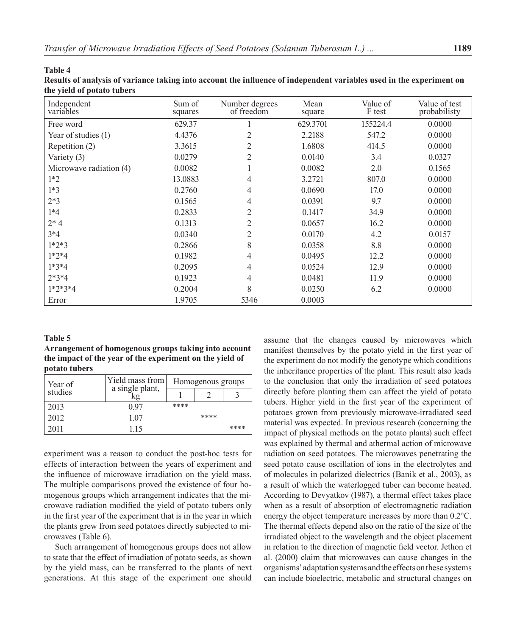#### **Table 4**

| Results of analysis of variance taking into account the influence of independent variables used in the experiment on |  |
|----------------------------------------------------------------------------------------------------------------------|--|
| the yield of potato tubers                                                                                           |  |

| Independent<br>variables | Sum of<br>squares | Number degrees<br>of freedom | Mean<br>square | Value of<br>F test | Value of test<br>probabilisty |
|--------------------------|-------------------|------------------------------|----------------|--------------------|-------------------------------|
| Free word                | 629.37            |                              | 629.3701       | 155224.4           | 0.0000                        |
| Year of studies (1)      | 4.4376            | $\overline{c}$               | 2.2188         | 547.2              | 0.0000                        |
| Repetition (2)           | 3.3615            | 2                            | 1.6808         | 414.5              | 0.0000                        |
| Variety (3)              | 0.0279            | $\overline{2}$               | 0.0140         | 3.4                | 0.0327                        |
| Microwave radiation (4)  | 0.0082            |                              | 0.0082         | 2.0                | 0.1565                        |
| $1*2$                    | 13.0883           | 4                            | 3.2721         | 807.0              | 0.0000                        |
| $1*3$                    | 0.2760            | 4                            | 0.0690         | 17.0               | 0.0000                        |
| $2*3$                    | 0.1565            | 4                            | 0.0391         | 9.7                | 0.0000                        |
| $1*4$                    | 0.2833            | $\overline{2}$               | 0.1417         | 34.9               | 0.0000                        |
| $2*4$                    | 0.1313            | $\overline{2}$               | 0.0657         | 16.2               | 0.0000                        |
| $3*4$                    | 0.0340            | $\overline{2}$               | 0.0170         | 4.2                | 0.0157                        |
| $1*2*3$                  | 0.2866            | 8                            | 0.0358         | 8.8                | 0.0000                        |
| $1*2*4$                  | 0.1982            | $\overline{4}$               | 0.0495         | 12.2               | 0.0000                        |
| $1*3*4$                  | 0.2095            | 4                            | 0.0524         | 12.9               | 0.0000                        |
| $2*3*4$                  | 0.1923            | $\overline{4}$               | 0.0481         | 11.9               | 0.0000                        |
| $1*2*3*4$                | 0.2004            | 8                            | 0.0250         | 6.2                | 0.0000                        |
| Error                    | 1.9705            | 5346                         | 0.0003         |                    |                               |

#### **Table 5**

**Arrangement of homogenous groups taking into account the impact of the year of the experiment on the yield of potato tubers**

| Year of | Yield mass from<br>a single plant, | Homogenous groups |      |      |  |
|---------|------------------------------------|-------------------|------|------|--|
| studies |                                    |                   |      |      |  |
| 2013    | 0.97                               | ****              |      |      |  |
| 2012    | 1.07                               |                   | **** |      |  |
| 2011    | 115                                |                   |      | **** |  |

experiment was a reason to conduct the post-hoc tests for effects of interaction between the years of experiment and the influence of microwave irradiation on the yield mass. The multiple comparisons proved the existence of four homogenous groups which arrangement indicates that the microwave radiation modified the yield of potato tubers only in the first year of the experiment that is in the year in which the plants grew from seed potatoes directly subjected to microwaves (Table 6).

Such arrangement of homogenous groups does not allow to state that the effect of irradiation of potato seeds, as shown by the yield mass, can be transferred to the plants of next generations. At this stage of the experiment one should assume that the changes caused by microwaves which manifest themselves by the potato yield in the first year of the experiment do not modify the genotype which conditions the inheritance properties of the plant. This result also leads to the conclusion that only the irradiation of seed potatoes directly before planting them can affect the yield of potato tubers. Higher yield in the first year of the experiment of potatoes grown from previously microwave-irradiated seed material was expected. In previous research (concerning the impact of physical methods on the potato plants) such effect was explained by thermal and athermal action of microwave radiation on seed potatoes. The microwaves penetrating the seed potato cause oscillation of ions in the electrolytes and of molecules in polarized dielectrics (Banik et al., 2003), as a result of which the waterlogged tuber can become heated. According to Devyatkov (1987), a thermal effect takes place when as a result of absorption of electromagnetic radiation energy the object temperature increases by more than 0.2°C. The thermal effects depend also on the ratio of the size of the irradiated object to the wavelength and the object placement in relation to the direction of magnetic field vector. Jethon et al. (2000) claim that microwaves can cause changes in the organisms' adaptation systems and the effects on these systems can include bioelectric, metabolic and structural changes on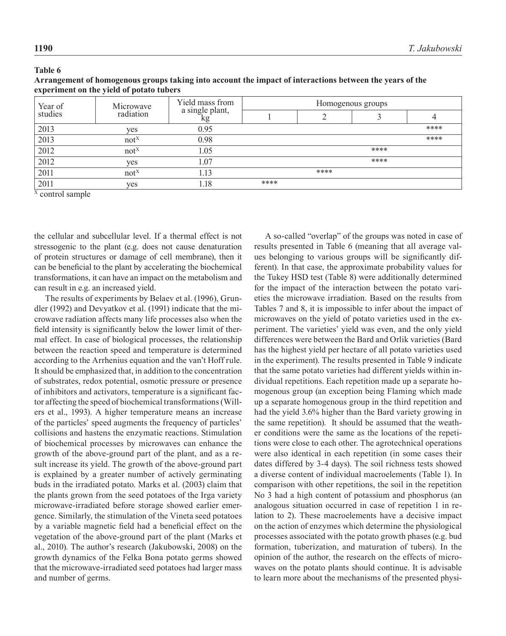| Year of | Microwave | Yield mass from       | Homogenous groups |      |      |      |  |
|---------|-----------|-----------------------|-------------------|------|------|------|--|
| studies | radiation | a single plant,<br>kg |                   |      |      |      |  |
| 2013    | yes       | 0.95                  |                   |      |      | **** |  |
| 2013    | $not^X$   | 0.98                  |                   |      |      | **** |  |
| 2012    | $not^X$   | 1.05                  |                   |      | **** |      |  |
| 2012    | yes       | 1.07                  |                   |      | **** |      |  |
| 2011    | $not^X$   | 1.13                  |                   | **** |      |      |  |
| 2011    | yes       | 1.18                  | ****              |      |      |      |  |
|         |           |                       |                   |      |      |      |  |

**Table 6 Arrangement of homogenous groups taking into account the impact of interactions between the years of the experiment on the yield of potato tubers** 

 $X$  control sample

the cellular and subcellular level. If a thermal effect is not stressogenic to the plant (e.g. does not cause denaturation of protein structures or damage of cell membrane), then it can be beneficial to the plant by accelerating the biochemical transformations, it can have an impact on the metabolism and can result in e.g. an increased yield.

The results of experiments by Belaev et al. (1996), Grundler (1992) and Devyatkov et al. (1991) indicate that the microwave radiation affects many life processes also when the field intensity is significantly below the lower limit of thermal effect. In case of biological processes, the relationship between the reaction speed and temperature is determined according to the Arrhenius equation and the van't Hoff rule. It should be emphasized that, in addition to the concentration of substrates, redox potential, osmotic pressure or presence of inhibitors and activators, temperature is a significant factor affecting the speed of biochemical transformations (Willers et al., 1993). A higher temperature means an increase of the particles' speed augments the frequency of particles' collisions and hastens the enzymatic reactions. Stimulation of biochemical processes by microwaves can enhance the growth of the above-ground part of the plant, and as a result increase its yield. The growth of the above-ground part is explained by a greater number of actively germinating buds in the irradiated potato. Marks et al. (2003) claim that the plants grown from the seed potatoes of the Irga variety microwave-irradiated before storage showed earlier emergence. Similarly, the stimulation of the Vineta seed potatoes by a variable magnetic field had a beneficial effect on the vegetation of the above-ground part of the plant (Marks et al., 2010). The author's research (Jakubowski, 2008) on the growth dynamics of the Felka Bona potato germs showed that the microwave-irradiated seed potatoes had larger mass and number of germs.

A so-called "overlap" of the groups was noted in case of results presented in Table 6 (meaning that all average values belonging to various groups will be significantly different). In that case, the approximate probability values for the Tukey HSD test (Table 8) were additionally determined for the impact of the interaction between the potato varieties the microwave irradiation. Based on the results from Tables 7 and 8, it is impossible to infer about the impact of microwaves on the yield of potato varieties used in the experiment. The varieties' yield was even, and the only yield differences were between the Bard and Orlik varieties (Bard has the highest yield per hectare of all potato varieties used in the experiment). The results presented in Table 9 indicate that the same potato varieties had different yields within individual repetitions. Each repetition made up a separate homogenous group (an exception being Flaming which made up a separate homogenous group in the third repetition and had the yield 3.6% higher than the Bard variety growing in the same repetition). It should be assumed that the weather conditions were the same as the locations of the repetitions were close to each other. The agrotechnical operations were also identical in each repetition (in some cases their dates differed by 3-4 days). The soil richness tests showed a diverse content of individual macroelements (Table 1). In comparison with other repetitions, the soil in the repetition No 3 had a high content of potassium and phosphorus (an analogous situation occurred in case of repetition 1 in relation to 2). These macroelements have a decisive impact on the action of enzymes which determine the physiological processes associated with the potato growth phases (e.g. bud formation, tuberization, and maturation of tubers). In the opinion of the author, the research on the effects of microwaves on the potato plants should continue. It is advisable to learn more about the mechanisms of the presented physi-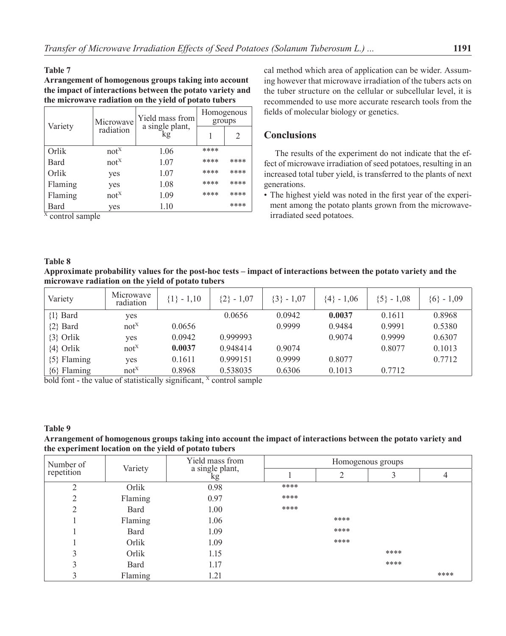### **Table 7**

**Arrangement of homogenous groups taking into account the impact of interactions between the potato variety and the microwave radiation on the yield of potato tubers** 

|         | Microwave | Yield mass from       | Homogenous<br>groups |      |
|---------|-----------|-----------------------|----------------------|------|
| Variety | radiation | a single plant,<br>kg |                      | 2    |
| Orlik   | $not^X$   | 1.06                  | ****                 |      |
| Bard    | $not^X$   | 1.07                  | ****                 | **** |
| Orlik   | yes       | 1.07                  | ****                 | **** |
| Flaming | yes       | 1.08                  | ****                 | **** |
| Flaming | $not^X$   | 1.09                  | ****                 | **** |
| Bard    | yes       | 1.10                  |                      | **** |

 $\overline{X}$  control sample

cal method which area of application can be wider. Assuming however that microwave irradiation of the tubers acts on the tuber structure on the cellular or subcellular level, it is recommended to use more accurate research tools from the fields of molecular biology or genetics.

# **Conclusions**

The results of the experiment do not indicate that the effect of microwave irradiation of seed potatoes, resulting in an increased total tuber yield, is transferred to the plants of next generations.

• The highest yield was noted in the first year of the experiment among the potato plants grown from the microwaveirradiated seed potatoes.

### **Table 8**

**Approximate probability values for the post-hoc tests – impact of interactions between the potato variety and the microwave radiation on the yield of potato tubers**

| Variety         | Microwave<br>radiation | $\{1\} - 1,10$ | ${2} - 1,07$ | $\{3\} - 1,07$ | ${4} - 1,06$ | $\{5\} - 1,08$ | $\{6\}$ - 1,09 |
|-----------------|------------------------|----------------|--------------|----------------|--------------|----------------|----------------|
| $\{1\}$ Bard    | yes                    |                | 0.0656       | 0.0942         | 0.0037       | 0.1611         | 0.8968         |
| $\{2\}$ Bard    | $not^X$                | 0.0656         |              | 0.9999         | 0.9484       | 0.9991         | 0.5380         |
| $\{3\}$ Orlik   | yes                    | 0.0942         | 0.999993     |                | 0.9074       | 0.9999         | 0.6307         |
| $\{4\}$ Orlik   | $not^X$                | 0.0037         | 0.948414     | 0.9074         |              | 0.8077         | 0.1013         |
| $\{5\}$ Flaming | yes                    | 0.1611         | 0.999151     | 0.9999         | 0.8077       |                | 0.7712         |
| $\{6\}$ Flaming | $not^X$                | 0.8968         | 0.538035     | 0.6306         | 0.1013       | 0.7712         |                |

bold font - the value of statistically significant,  $X$  control sample

### **Table 9**

### **Arrangement of homogenous groups taking into account the impact of interactions between the potato variety and the experiment location on the yield of potato tubers**

| Number of  | Variety | Yield mass from       | Homogenous groups |                |      |      |  |
|------------|---------|-----------------------|-------------------|----------------|------|------|--|
| repetition |         | a single plant,<br>kg |                   | $\overline{2}$ |      | 4    |  |
| C          | Orlik   | 0.98                  | ****              |                |      |      |  |
| ◠          | Flaming | 0.97                  | ****              |                |      |      |  |
|            | Bard    | 1.00                  | ****              |                |      |      |  |
|            | Flaming | 1.06                  |                   | ****           |      |      |  |
|            | Bard    | 1.09                  |                   | ****           |      |      |  |
|            | Orlik   | 1.09                  |                   | ****           |      |      |  |
| 3          | Orlik   | 1.15                  |                   |                | **** |      |  |
| 3          | Bard    | 1.17                  |                   |                | **** |      |  |
|            | Flaming | 1.21                  |                   |                |      | **** |  |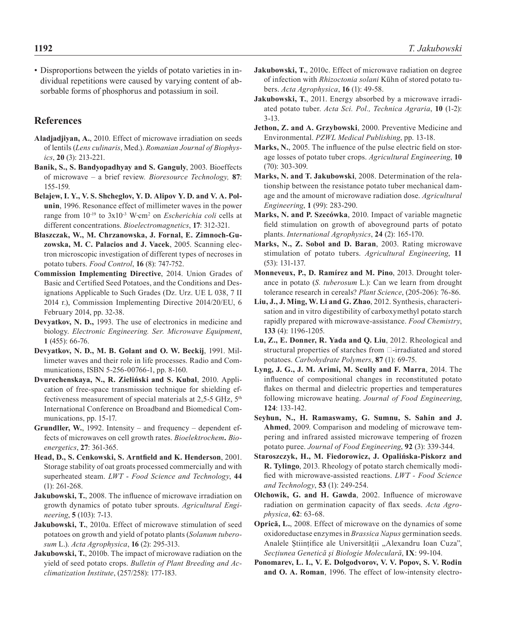• Disproportions between the yields of potato varieties in individual repetitions were caused by varying content of absorbable forms of phosphorus and potassium in soil.

# **References**

- **Aladjadjiyan, А.**, 2010. Effect of microwave irradiation on seeds of lentils (*Lens culinaris*, Med.). *Romanian Journal of Biophysics*, **20** (3): 213-221.
- **Banik, S., S. Bandyopadhyay and S. Ganguly**, 2003. Bioeffects of microwave – a brief review*. Bioresource Technology,* **87**: 155-159.
- **Belajew, I. Y., V. S. Shcheglov, Y. D. Alipov Y. D. and V. A. Polunin**, 1996. Resonance effect of millimeter waves in the power range from  $10^{-19}$  to  $3x10^{-3}$  W·cm<sup>2</sup> on *Escherichia coli* cells at different concentrations. *Bioelectromagnetics*, **17**: 312-321.
- **Błaszczak, W., M. Chrzanowska, J. Fornal, E. Zimnoch-Guzowska, M. C. Palacios and J. Vacek**, 2005. Scanning electron microscopic investigation of different types of necroses in potato tubers. *Food Control*, **16** (8): 747-752.
- **Commission Implementing Directive**, 2014. Union Grades of Basic and Certified Seed Potatoes, and the Conditions and Designations Applicable to Such Grades (Dz. Urz. UE L 038, 7 II 2014 r.), Commission Implementing Directive 2014/20/EU, 6 February 2014, pp. 32-38.
- **Devyatkov, N. D.,** 1993. The use of electronics in medicine and biology. *Electronic Engineering. Ser. Microwave Equipment*, **1** (455): 66-76.
- **Devyatkov, N. D., M. B. Golant and O. W. Beckij**, 1991. Millimeter waves and their role in life processes. Radio and Communications, ISBN 5-256-00766-1, pp. 8-160.
- **Dvurechenskaya, N., R. Zieliński and S. Kubal**, 2010. Application of free-space transmission technique for shielding effectiveness measurement of special materials at 2,5-5 GHz, 5th International Conference on Broadband and Biomedical Communications, pp. 15-17.
- **Grundller, W.**, 1992. Intensity and frequency dependent effects of microwaves on cell growth rates. *Bioelektrochem. Bioenergetics*, **27**: 361-365.
- **Head, D., S. Cenkowski, S. Arntfield and K. Henderson**, 2001. Storage stability of oat groats processed commercially and with superheated steam. *LWT* - *Food Science and Technology*, **44** (1): 261-268.
- **Jakubowski, T.**, 2008. The influence of microwave irradiation on growth dynamics of potato tuber sprouts. *Agricultural Engineering*, **5** (103): 7-13.
- **Jakubowski, T.**, 2010a. Effect of microwave stimulation of seed potatoes on growth and yield of potato plants (*Solanum tuberosum* L.). *Acta Agrophysica*, **16** (2): 295-313.
- **Jakubowski, T.**, 2010b. The impact of microwave radiation on the yield of seed potato crops. *Bulletin of Plant Breeding and Acclimatization Institute*, (257/258): 177-183.
- **Jakubowski, T.**, 2010c. Effect of microwave radiation on degree of infection with *Rhizoctonia solani* Kühn of stored potato tubers. *Acta Agrophysica*, **16** (1): 49-58.
- **Jakubowski, T.**, 2011. Energy absorbed by a microwave irradiated potato tuber. *Acta Sci. Pol., Technica Agraria*, **10** (1-2): 3-13.
- **Jethon, Z. and A. Grzybowski**, 2000. Preventive Medicine and Environmental. *PZWL Medical Publishing*, pp. 13-18.
- **Marks, N.**, 2005. The influence of the pulse electric field on storage losses of potato tuber crops. *Agricultural Engineering*, **10** (70): 303-309.
- **Marks, N. and T. Jakubowski**, 2008. Determination of the relationship between the resistance potato tuber mechanical damage and the amount of microwave radiation dose. *Agricultural Engineering*, **1** (99): 283-290.
- **Marks, N. and P. Szecówka**, 2010. Impact of variable magnetic field stimulation on growth of aboveground parts of potato plants. *International Agrophysics*, **24** (2): 165-170.
- **Marks, N., Z. Sobol and D. Baran**, 2003. Rating microwave stimulation of potato tubers. *Agricultural Engineering*, **11**  (53): 131-137.
- **Monneveux, P., D. Ramírez and M. Pino**, 2013. Drought tolerance in potato (*S. tuberosum* L.): Can we learn from drought tolerance research in cereals? *Plant Science*, (205-206): 76-86.
- **Liu, J., J. Ming, W. Li and G. Zhao**, 2012. Synthesis, characterisation and in vitro digestibility of carboxymethyl potato starch rapidly prepared with microwave-assistance. *Food Chemistry*, **133** (4): 1196-1205.
- **Lu, Z., E. Donner, R. Yada and Q. Liu**, 2012. Rheological and structural properties of starches from  $\Box$ -irradiated and stored potatoes. *Carbohydrate Polymers*, **87** (1): 69-75.
- **Lyng, J. G., J. M. Arimi, M. Scully and F. Marra**, 2014. The influence of compositional changes in reconstituted potato flakes on thermal and dielectric properties and temperatures following microwave heating. *Journal of Food Engineering*, **124**: 133-142.
- **Seyhun, N., H. Ramaswamy, G. Sumnu, S. Sahin and J. Ahmed**, 2009. Comparison and modeling of microwave tempering and infrared assisted microwave tempering of frozen potato puree. *Journal of Food Engineering*, **92** (3): 339-344.
- **Staroszczyk, H., M. Fiedorowicz, J. Opalińska-Piskorz and R. Tylingo**, 2013. Rheology of potato starch chemically modified with microwave-assisted reactions. *LWT - Food Science and Technology*, **53** (1): 249-254.
- **Olchowik, G. and H. Gawda**, 2002. Influence of microwave radiation on germination capacity of flax seeds. *Acta Agrophysica*, **62**: 63-68.
- **Oprică, L.**, 2008. Effect of microwave on the dynamics of some oxidoreductase enzymes in *Brassica Napus* germination seeds. Analele Științifice ale Universității "Alexandru Ioan Cuza", *Secţiunea Genetică şi Biologie Moleculară*, **IX**: 99-104.
- **Ponomarev, L. I., V. Е. Dolgodvorov, V. V. Popov, S. V. Rodin and O. A. Roman**, 1996. The effect of low-intensity electro-